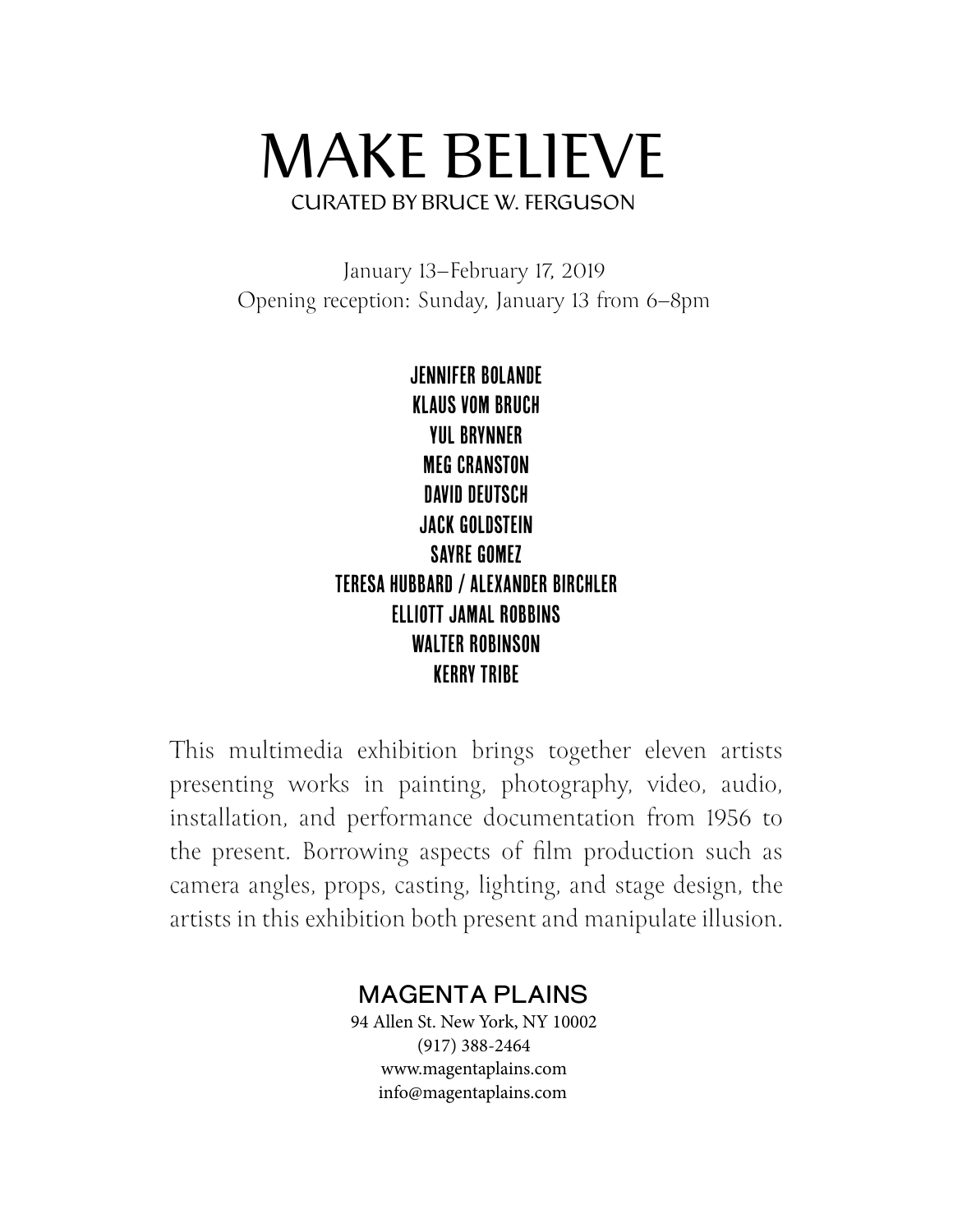## MAKE BELIEVE CURATED BY BRUCE W. FERGUSON

January 13–February 17, 2019 Opening reception: Sunday, January 13 from 6–8pm

> Jennifer Bolande Klaus vom Bruch Yul Brynner Meg Cranston David Deutsch Jack Goldstein Sayre Gomez Teresa Hubbard / Alexander Birchler Elliott Jamal Robbins Walter Robinson **KFRRY TRIBF**

This multimedia exhibition brings together eleven artists presenting works in painting, photography, video, audio, installation, and performance documentation from 1956 to the present. Borrowing aspects of film production such as camera angles, props, casting, lighting, and stage design, the artists in this exhibition both present and manipulate illusion.

## MAGENTA PLAINS

94 Allen St. New York, NY 10002 (917) 388-2464 www.magentaplains.com info@magentaplains.com